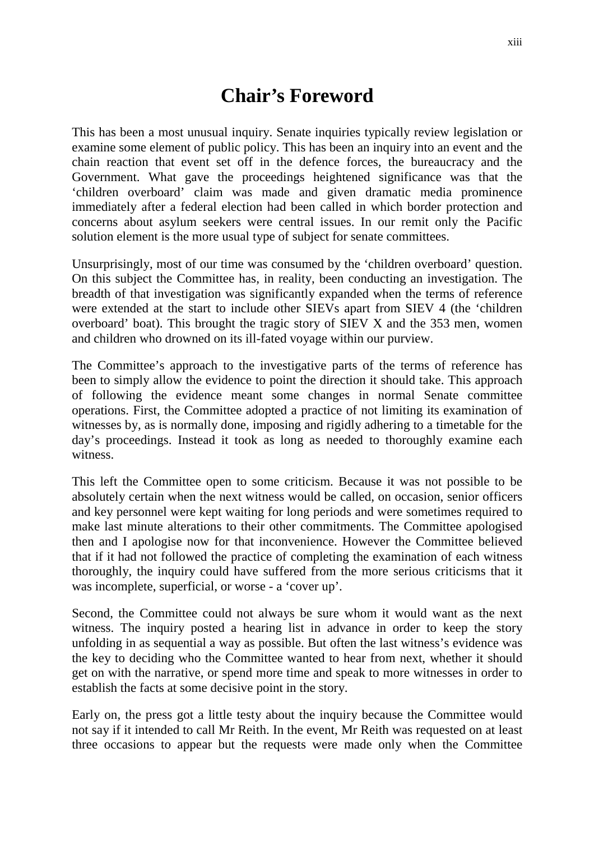## **Chair's Foreword**

This has been a most unusual inquiry. Senate inquiries typically review legislation or examine some element of public policy. This has been an inquiry into an event and the chain reaction that event set off in the defence forces, the bureaucracy and the Government. What gave the proceedings heightened significance was that the 'children overboard' claim was made and given dramatic media prominence immediately after a federal election had been called in which border protection and concerns about asylum seekers were central issues. In our remit only the Pacific solution element is the more usual type of subject for senate committees.

Unsurprisingly, most of our time was consumed by the 'children overboard' question. On this subject the Committee has, in reality, been conducting an investigation. The breadth of that investigation was significantly expanded when the terms of reference were extended at the start to include other SIEVs apart from SIEV 4 (the 'children overboard' boat). This brought the tragic story of SIEV X and the 353 men, women and children who drowned on its ill-fated voyage within our purview.

The Committee's approach to the investigative parts of the terms of reference has been to simply allow the evidence to point the direction it should take. This approach of following the evidence meant some changes in normal Senate committee operations. First, the Committee adopted a practice of not limiting its examination of witnesses by, as is normally done, imposing and rigidly adhering to a timetable for the day's proceedings. Instead it took as long as needed to thoroughly examine each witness.

This left the Committee open to some criticism. Because it was not possible to be absolutely certain when the next witness would be called, on occasion, senior officers and key personnel were kept waiting for long periods and were sometimes required to make last minute alterations to their other commitments. The Committee apologised then and I apologise now for that inconvenience. However the Committee believed that if it had not followed the practice of completing the examination of each witness thoroughly, the inquiry could have suffered from the more serious criticisms that it was incomplete, superficial, or worse - a 'cover up'.

Second, the Committee could not always be sure whom it would want as the next witness. The inquiry posted a hearing list in advance in order to keep the story unfolding in as sequential a way as possible. But often the last witness's evidence was the key to deciding who the Committee wanted to hear from next, whether it should get on with the narrative, or spend more time and speak to more witnesses in order to establish the facts at some decisive point in the story.

Early on, the press got a little testy about the inquiry because the Committee would not say if it intended to call Mr Reith. In the event, Mr Reith was requested on at least three occasions to appear but the requests were made only when the Committee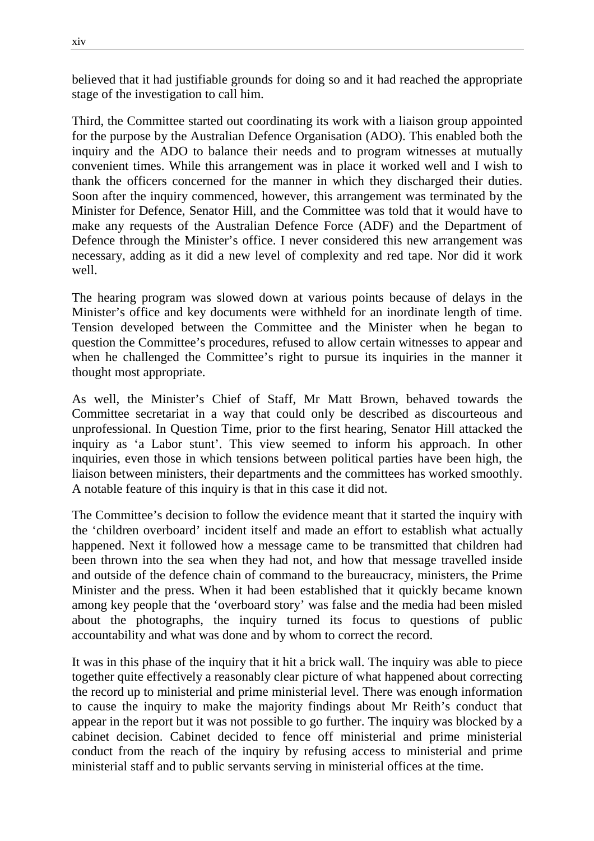believed that it had justifiable grounds for doing so and it had reached the appropriate stage of the investigation to call him.

Third, the Committee started out coordinating its work with a liaison group appointed for the purpose by the Australian Defence Organisation (ADO). This enabled both the inquiry and the ADO to balance their needs and to program witnesses at mutually convenient times. While this arrangement was in place it worked well and I wish to thank the officers concerned for the manner in which they discharged their duties. Soon after the inquiry commenced, however, this arrangement was terminated by the Minister for Defence, Senator Hill, and the Committee was told that it would have to make any requests of the Australian Defence Force (ADF) and the Department of Defence through the Minister's office. I never considered this new arrangement was necessary, adding as it did a new level of complexity and red tape. Nor did it work well.

The hearing program was slowed down at various points because of delays in the Minister's office and key documents were withheld for an inordinate length of time. Tension developed between the Committee and the Minister when he began to question the Committee's procedures, refused to allow certain witnesses to appear and when he challenged the Committee's right to pursue its inquiries in the manner it thought most appropriate.

As well, the Minister's Chief of Staff, Mr Matt Brown, behaved towards the Committee secretariat in a way that could only be described as discourteous and unprofessional. In Question Time, prior to the first hearing, Senator Hill attacked the inquiry as 'a Labor stunt'. This view seemed to inform his approach. In other inquiries, even those in which tensions between political parties have been high, the liaison between ministers, their departments and the committees has worked smoothly. A notable feature of this inquiry is that in this case it did not.

The Committee's decision to follow the evidence meant that it started the inquiry with the 'children overboard' incident itself and made an effort to establish what actually happened. Next it followed how a message came to be transmitted that children had been thrown into the sea when they had not, and how that message travelled inside and outside of the defence chain of command to the bureaucracy, ministers, the Prime Minister and the press. When it had been established that it quickly became known among key people that the 'overboard story' was false and the media had been misled about the photographs, the inquiry turned its focus to questions of public accountability and what was done and by whom to correct the record.

It was in this phase of the inquiry that it hit a brick wall. The inquiry was able to piece together quite effectively a reasonably clear picture of what happened about correcting the record up to ministerial and prime ministerial level. There was enough information to cause the inquiry to make the majority findings about Mr Reith's conduct that appear in the report but it was not possible to go further. The inquiry was blocked by a cabinet decision. Cabinet decided to fence off ministerial and prime ministerial conduct from the reach of the inquiry by refusing access to ministerial and prime ministerial staff and to public servants serving in ministerial offices at the time.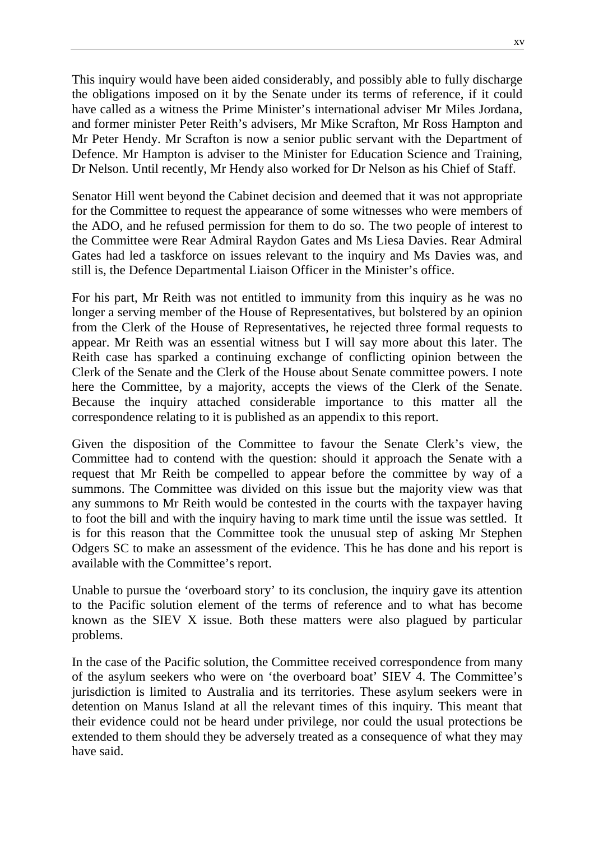This inquiry would have been aided considerably, and possibly able to fully discharge the obligations imposed on it by the Senate under its terms of reference, if it could have called as a witness the Prime Minister's international adviser Mr Miles Jordana, and former minister Peter Reith's advisers, Mr Mike Scrafton, Mr Ross Hampton and Mr Peter Hendy. Mr Scrafton is now a senior public servant with the Department of Defence. Mr Hampton is adviser to the Minister for Education Science and Training, Dr Nelson. Until recently, Mr Hendy also worked for Dr Nelson as his Chief of Staff.

Senator Hill went beyond the Cabinet decision and deemed that it was not appropriate for the Committee to request the appearance of some witnesses who were members of the ADO, and he refused permission for them to do so. The two people of interest to the Committee were Rear Admiral Raydon Gates and Ms Liesa Davies. Rear Admiral Gates had led a taskforce on issues relevant to the inquiry and Ms Davies was, and still is, the Defence Departmental Liaison Officer in the Minister's office.

For his part, Mr Reith was not entitled to immunity from this inquiry as he was no longer a serving member of the House of Representatives, but bolstered by an opinion from the Clerk of the House of Representatives, he rejected three formal requests to appear. Mr Reith was an essential witness but I will say more about this later. The Reith case has sparked a continuing exchange of conflicting opinion between the Clerk of the Senate and the Clerk of the House about Senate committee powers. I note here the Committee, by a majority, accepts the views of the Clerk of the Senate. Because the inquiry attached considerable importance to this matter all the correspondence relating to it is published as an appendix to this report.

Given the disposition of the Committee to favour the Senate Clerk's view, the Committee had to contend with the question: should it approach the Senate with a request that Mr Reith be compelled to appear before the committee by way of a summons. The Committee was divided on this issue but the majority view was that any summons to Mr Reith would be contested in the courts with the taxpayer having to foot the bill and with the inquiry having to mark time until the issue was settled. It is for this reason that the Committee took the unusual step of asking Mr Stephen Odgers SC to make an assessment of the evidence. This he has done and his report is available with the Committee's report.

Unable to pursue the 'overboard story' to its conclusion, the inquiry gave its attention to the Pacific solution element of the terms of reference and to what has become known as the SIEV X issue. Both these matters were also plagued by particular problems.

In the case of the Pacific solution, the Committee received correspondence from many of the asylum seekers who were on 'the overboard boat' SIEV 4. The Committee's jurisdiction is limited to Australia and its territories. These asylum seekers were in detention on Manus Island at all the relevant times of this inquiry. This meant that their evidence could not be heard under privilege, nor could the usual protections be extended to them should they be adversely treated as a consequence of what they may have said.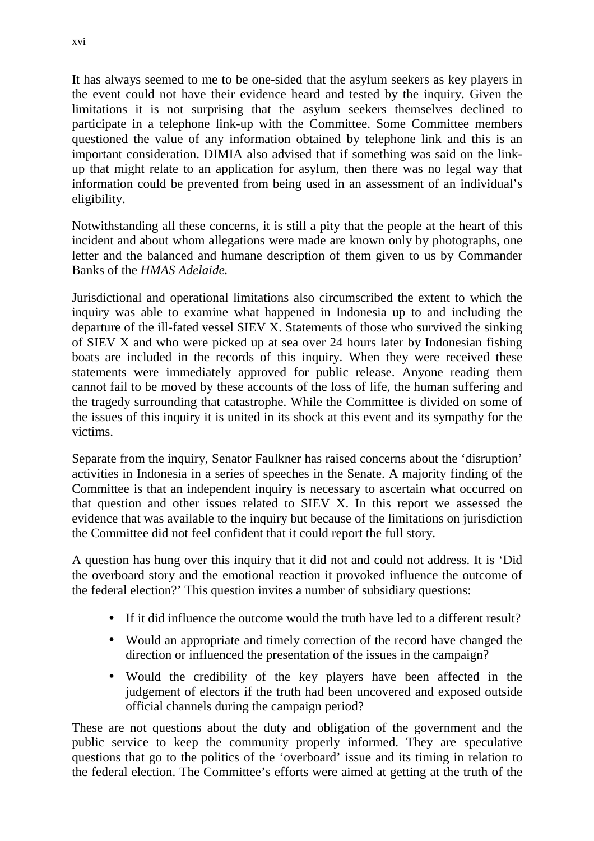It has always seemed to me to be one-sided that the asylum seekers as key players in the event could not have their evidence heard and tested by the inquiry. Given the limitations it is not surprising that the asylum seekers themselves declined to participate in a telephone link-up with the Committee. Some Committee members questioned the value of any information obtained by telephone link and this is an important consideration. DIMIA also advised that if something was said on the linkup that might relate to an application for asylum, then there was no legal way that information could be prevented from being used in an assessment of an individual's eligibility.

Notwithstanding all these concerns, it is still a pity that the people at the heart of this incident and about whom allegations were made are known only by photographs, one letter and the balanced and humane description of them given to us by Commander Banks of the *HMAS Adelaide.*

Jurisdictional and operational limitations also circumscribed the extent to which the inquiry was able to examine what happened in Indonesia up to and including the departure of the ill-fated vessel SIEV X. Statements of those who survived the sinking of SIEV X and who were picked up at sea over 24 hours later by Indonesian fishing boats are included in the records of this inquiry. When they were received these statements were immediately approved for public release. Anyone reading them cannot fail to be moved by these accounts of the loss of life, the human suffering and the tragedy surrounding that catastrophe. While the Committee is divided on some of the issues of this inquiry it is united in its shock at this event and its sympathy for the victims.

Separate from the inquiry, Senator Faulkner has raised concerns about the 'disruption' activities in Indonesia in a series of speeches in the Senate. A majority finding of the Committee is that an independent inquiry is necessary to ascertain what occurred on that question and other issues related to SIEV X. In this report we assessed the evidence that was available to the inquiry but because of the limitations on jurisdiction the Committee did not feel confident that it could report the full story.

A question has hung over this inquiry that it did not and could not address. It is 'Did the overboard story and the emotional reaction it provoked influence the outcome of the federal election?' This question invites a number of subsidiary questions:

- If it did influence the outcome would the truth have led to a different result?
- Would an appropriate and timely correction of the record have changed the direction or influenced the presentation of the issues in the campaign?
- Would the credibility of the key players have been affected in the judgement of electors if the truth had been uncovered and exposed outside official channels during the campaign period?

These are not questions about the duty and obligation of the government and the public service to keep the community properly informed. They are speculative questions that go to the politics of the 'overboard' issue and its timing in relation to the federal election. The Committee's efforts were aimed at getting at the truth of the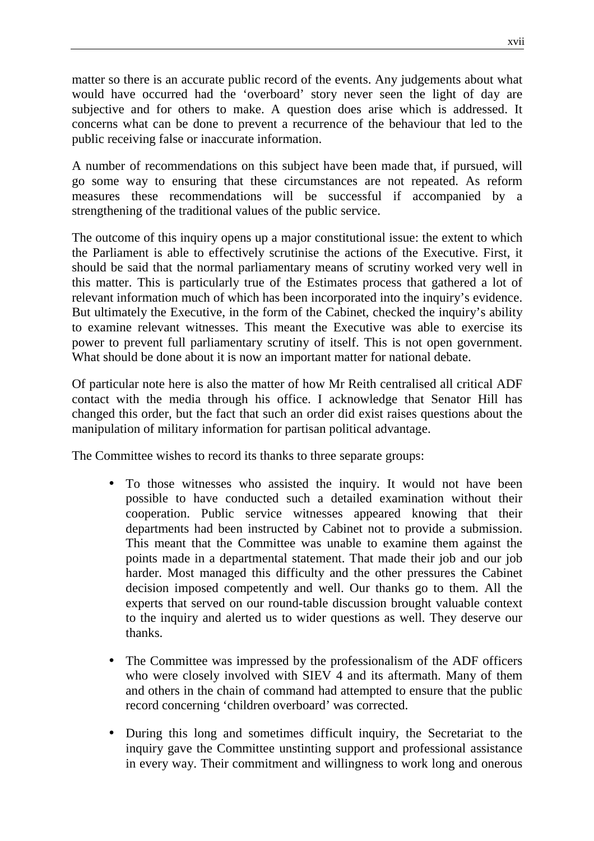matter so there is an accurate public record of the events. Any judgements about what would have occurred had the 'overboard' story never seen the light of day are subjective and for others to make. A question does arise which is addressed. It concerns what can be done to prevent a recurrence of the behaviour that led to the public receiving false or inaccurate information.

A number of recommendations on this subject have been made that, if pursued, will go some way to ensuring that these circumstances are not repeated. As reform measures these recommendations will be successful if accompanied by a strengthening of the traditional values of the public service.

The outcome of this inquiry opens up a major constitutional issue: the extent to which the Parliament is able to effectively scrutinise the actions of the Executive. First, it should be said that the normal parliamentary means of scrutiny worked very well in this matter. This is particularly true of the Estimates process that gathered a lot of relevant information much of which has been incorporated into the inquiry's evidence. But ultimately the Executive, in the form of the Cabinet, checked the inquiry's ability to examine relevant witnesses. This meant the Executive was able to exercise its power to prevent full parliamentary scrutiny of itself. This is not open government. What should be done about it is now an important matter for national debate.

Of particular note here is also the matter of how Mr Reith centralised all critical ADF contact with the media through his office. I acknowledge that Senator Hill has changed this order, but the fact that such an order did exist raises questions about the manipulation of military information for partisan political advantage.

The Committee wishes to record its thanks to three separate groups:

- To those witnesses who assisted the inquiry. It would not have been possible to have conducted such a detailed examination without their cooperation. Public service witnesses appeared knowing that their departments had been instructed by Cabinet not to provide a submission. This meant that the Committee was unable to examine them against the points made in a departmental statement. That made their job and our job harder. Most managed this difficulty and the other pressures the Cabinet decision imposed competently and well. Our thanks go to them. All the experts that served on our round-table discussion brought valuable context to the inquiry and alerted us to wider questions as well. They deserve our thanks.
- The Committee was impressed by the professionalism of the ADF officers who were closely involved with SIEV 4 and its aftermath. Many of them and others in the chain of command had attempted to ensure that the public record concerning 'children overboard' was corrected.
- During this long and sometimes difficult inquiry, the Secretariat to the inquiry gave the Committee unstinting support and professional assistance in every way. Their commitment and willingness to work long and onerous